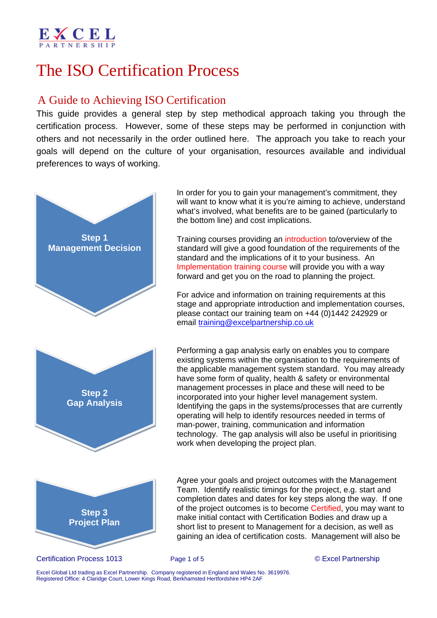# The ISO Certification Process

## A Guide to Achieving ISO Certification

This guide provides a general step by step methodical approach taking you through the certification process. However, some of these steps may be performed in conjunction with others and not necessarily in the order outlined here. The approach you take to reach your goals will depend on the culture of your organisation, resources available and individual preferences to ways of working.



 In order for you to gain your management's commitment, they will want to know what it is you're aiming to achieve, understand what's involved, what benefits are to be gained (particularly to the bottom line) and cost implications.

 Training courses providing an introduction to/overview of the standard will give a good foundation of the requirements of the standard and the implications of it to your business. An Implementation training course will provide you with a way forward and get you on the road to planning the project.

 For advice and information on training requirements at this stage and appropriate introduction and implementation courses, please contact our training team on +44 (0)1442 242929 or email training@excelpartnership.co.uk

 Performing a gap analysis early on enables you to compare existing systems within the organisation to the requirements of the applicable management system standard. You may already have some form of quality, health & safety or environmental management processes in place and these will need to be incorporated into your higher level management system. Identifying the gaps in the systems/processes that are currently operating will help to identify resources needed in terms of man-power, training, communication and information technology. The gap analysis will also be useful in prioritising work when developing the project plan.



 Agree your goals and project outcomes with the Management Team. Identify realistic timings for the project, e.g. start and completion dates and dates for key steps along the way. If one of the project outcomes is to become Certified, you may want to make initial contact with Certification Bodies and draw up a short list to present to Management for a decision, as well as gaining an idea of certification costs. Management will also be

## Certification Process 1013 Page 1 of 5 © Excel Partnership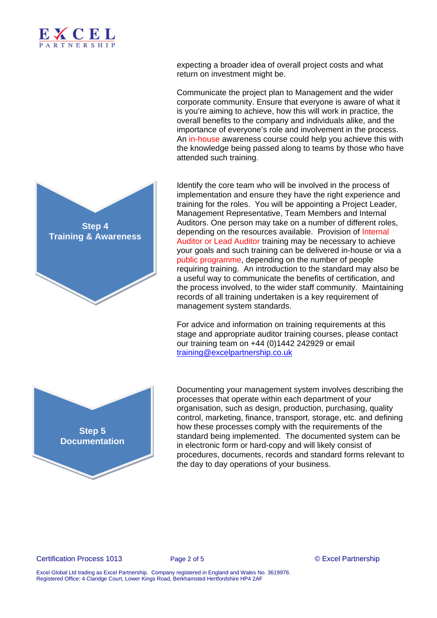

expecting a broader idea of overall project costs and what return on investment might be.

 Communicate the project plan to Management and the wider corporate community. Ensure that everyone is aware of what it is you're aiming to achieve, how this will work in practice, the overall benefits to the company and individuals alike, and the importance of everyone's role and involvement in the process. An in-house awareness course could help you achieve this with the knowledge being passed along to teams by those who have attended such training.

 Identify the core team who will be involved in the process of implementation and ensure they have the right experience and training for the roles. You will be appointing a Project Leader, Management Representative, Team Members and Internal Auditors. One person may take on a number of different roles, depending on the resources available. Provision of Internal Auditor or Lead Auditor training may be necessary to achieve your goals and such training can be delivered in-house or via a public programme, depending on the number of people requiring training. An introduction to the standard may also be a useful way to communicate the benefits of certification, and the process involved, to the wider staff community. Maintaining records of all training undertaken is a key requirement of management system standards.

 For advice and information on training requirements at this stage and appropriate auditor training courses, please contact our training team on +44 (0)1442 242929 or email training@excelpartnership.co.uk



 Documenting your management system involves describing the processes that operate within each department of your organisation, such as design, production, purchasing, quality control, marketing, finance, transport, storage, etc. and defining how these processes comply with the requirements of the standard being implemented. The documented system can be in electronic form or hard-copy and will likely consist of procedures, documents, records and standard forms relevant to the day to day operations of your business.

Certification Process 1013 Page 2 of 5 © Excel Partnership

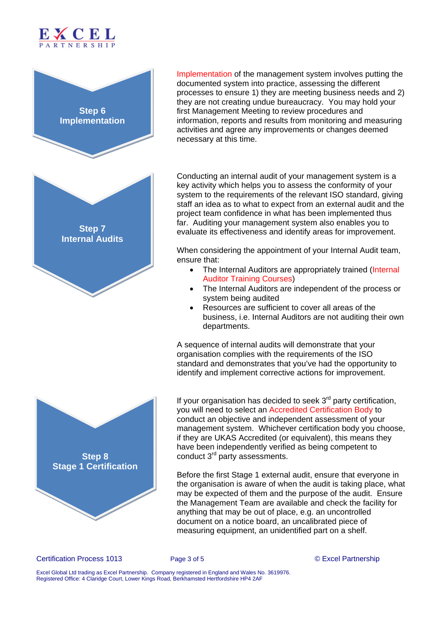



 Implementation of the management system involves putting the documented system into practice, assessing the different processes to ensure 1) they are meeting business needs and 2) they are not creating undue bureaucracy. You may hold your first Management Meeting to review procedures and information, reports and results from monitoring and measuring activities and agree any improvements or changes deemed necessary at this time.

 Conducting an internal audit of your management system is a key activity which helps you to assess the conformity of your system to the requirements of the relevant ISO standard, giving staff an idea as to what to expect from an external audit and the project team confidence in what has been implemented thus far. Auditing your management system also enables you to evaluate its effectiveness and identify areas for improvement.

 When considering the appointment of your Internal Audit team, ensure that:

- The Internal Auditors are appropriately trained (Internal Auditor Training Courses)
- The Internal Auditors are independent of the process or system being audited
- Resources are sufficient to cover all areas of the business, i.e. Internal Auditors are not auditing their own departments.

 A sequence of internal audits will demonstrate that your organisation complies with the requirements of the ISO standard and demonstrates that you've had the opportunity to identify and implement corrective actions for improvement.



If your organisation has decided to seek  $3<sup>rd</sup>$  party certification, you will need to select an Accredited Certification Body to conduct an objective and independent assessment of your management system. Whichever certification body you choose, if they are UKAS Accredited (or equivalent), this means they have been independently verified as being competent to conduct 3rd party assessments.

 Before the first Stage 1 external audit, ensure that everyone in the organisation is aware of when the audit is taking place, what may be expected of them and the purpose of the audit. Ensure the Management Team are available and check the facility for anything that may be out of place, e.g. an uncontrolled document on a notice board, an uncalibrated piece of measuring equipment, an unidentified part on a shelf.

Certification Process 1013 Page 3 of 5 © Excel Partnership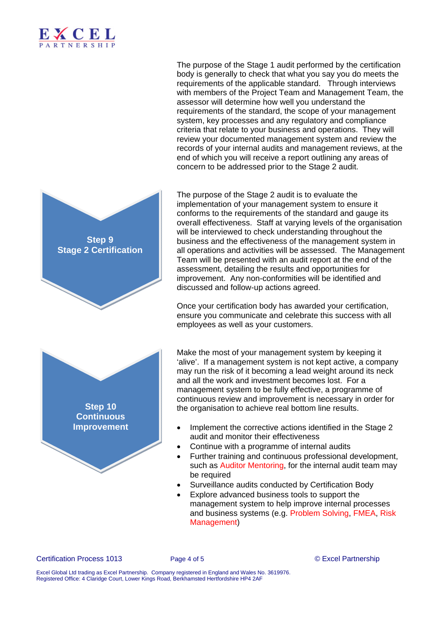

 The purpose of the Stage 1 audit performed by the certification body is generally to check that what you say you do meets the requirements of the applicable standard. Through interviews with members of the Project Team and Management Team, the assessor will determine how well you understand the requirements of the standard, the scope of your management system, key processes and any regulatory and compliance criteria that relate to your business and operations. They will review your documented management system and review the records of your internal audits and management reviews, at the end of which you will receive a report outlining any areas of concern to be addressed prior to the Stage 2 audit.

**Step 9 Stage 2 Certification Step 10 Continuous Improvement**

The purpose of the Stage 2 audit is to evaluate the implementation of your management system to ensure it conforms to the requirements of the standard and gauge its overall effectiveness. Staff at varying levels of the organisation will be interviewed to check understanding throughout the business and the effectiveness of the management system in all operations and activities will be assessed. The Management Team will be presented with an audit report at the end of the assessment, detailing the results and opportunities for improvement. Any non-conformities will be identified and discussed and follow-up actions agreed.

 Once your certification body has awarded your certification, ensure you communicate and celebrate this success with all employees as well as your customers.

 Make the most of your management system by keeping it 'alive'. If a management system is not kept active, a company may run the risk of it becoming a lead weight around its neck and all the work and investment becomes lost. For a management system to be fully effective, a programme of continuous review and improvement is necessary in order for the organisation to achieve real bottom line results.

- Implement the corrective actions identified in the Stage 2 audit and monitor their effectiveness
- Continue with a programme of internal audits
- Further training and continuous professional development, such as Auditor Mentoring, for the internal audit team may be required
- Surveillance audits conducted by Certification Body
- Explore advanced business tools to support the management system to help improve internal processes and business systems (e.g. Problem Solving, FMEA, Risk Management)

Certification Process 1013 Page 4 of 5 © Excel Partnership